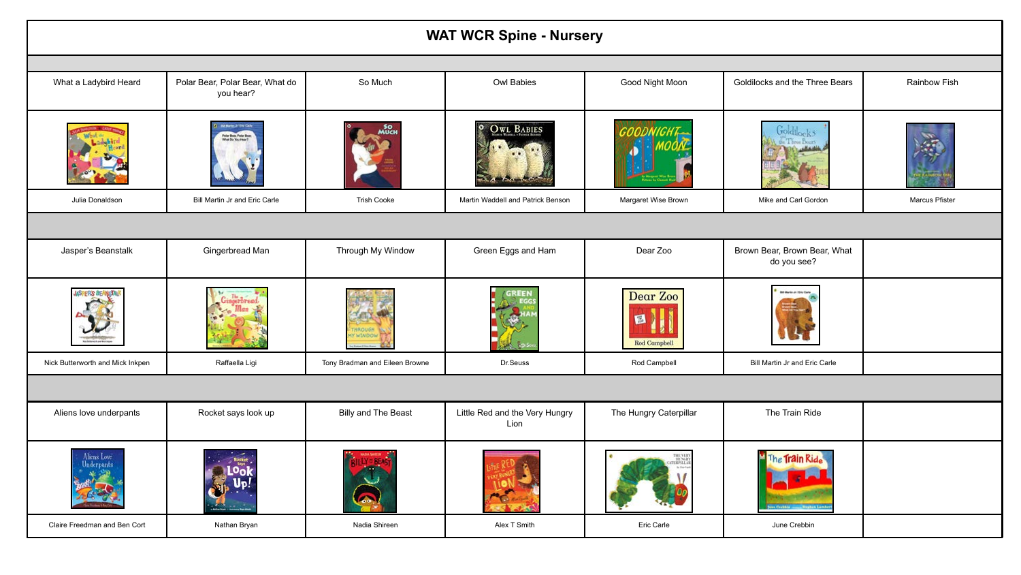| <b>WAT WCR Spine - Nursery</b>   |                                                                      |                                |                                        |                          |                                             |                |  |
|----------------------------------|----------------------------------------------------------------------|--------------------------------|----------------------------------------|--------------------------|---------------------------------------------|----------------|--|
|                                  |                                                                      |                                |                                        |                          |                                             |                |  |
| What a Ladybird Heard            | Polar Bear, Polar Bear, What do<br>you hear?                         | So Much                        | Owl Babies                             | Good Night Moon          | Goldilocks and the Three Bears              | Rainbow Fish   |  |
|                                  | <b>U Metri J TH Cate</b><br>the Bear, Polar Bear<br>hat Do You Hear? |                                | $\bullet$<br><b>OWL BABIES</b>         |                          | <b>Goldilocks</b>                           |                |  |
| Julia Donaldson                  | Bill Martin Jr and Eric Carle                                        | <b>Trish Cooke</b>             | Martin Waddell and Patrick Benson      | Margaret Wise Brown      | Mike and Carl Gordon                        | Marcus Pfister |  |
|                                  |                                                                      |                                |                                        |                          |                                             |                |  |
| Jasper's Beanstalk               | Gingerbread Man                                                      | Through My Window              | Green Eggs and Ham                     | Dear Zoo                 | Brown Bear, Brown Bear, What<br>do you see? |                |  |
| <b>DERS BE</b>                   |                                                                      | WINDO                          | <b>GREEN</b>                           | Dear Zoo<br>Rod Campbell | <b>Bill Martin Jr / Eric Car</b>            |                |  |
| Nick Butterworth and Mick Inkpen | Raffaella Ligi                                                       | Tony Bradman and Eileen Browne | Dr.Seuss                               | Rod Campbell             | Bill Martin Jr and Eric Carle               |                |  |
|                                  |                                                                      |                                |                                        |                          |                                             |                |  |
| Aliens love underpants           | Rocket says look up                                                  | Billy and The Beast            | Little Red and the Very Hungry<br>Lion | The Hungry Caterpillar   | The Train Ride                              |                |  |
| Aliens Love                      |                                                                      |                                |                                        |                          | <b>Train Rid</b>                            |                |  |
| Claire Freedman and Ben Cort     | Nathan Bryan                                                         | Nadia Shireen                  | Alex T Smith                           | Eric Carle               | June Crebbin                                |                |  |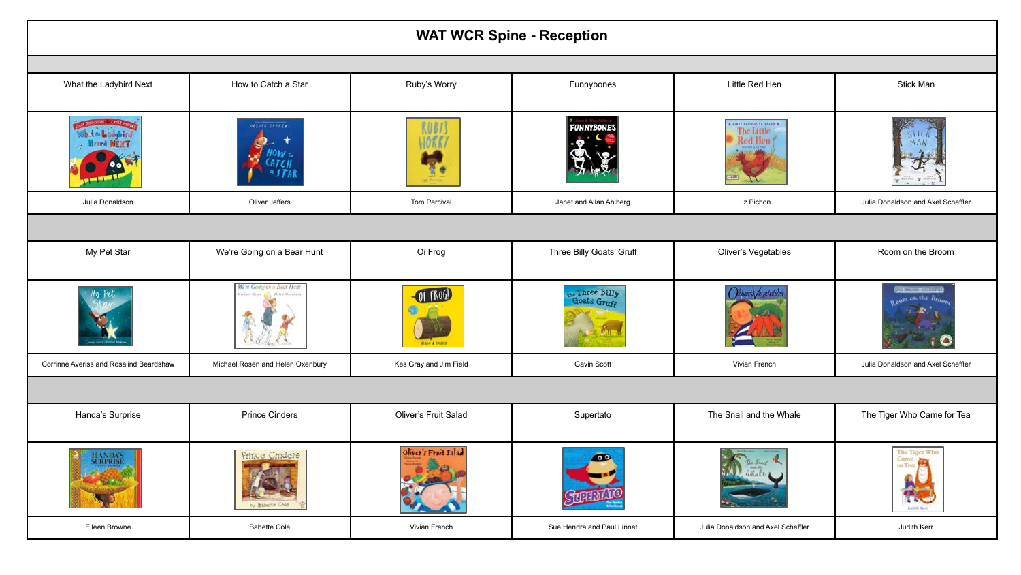| <b>WAT WCR Spine - Reception</b>        |                                   |                        |                            |                                                    |                                                                   |  |  |  |
|-----------------------------------------|-----------------------------------|------------------------|----------------------------|----------------------------------------------------|-------------------------------------------------------------------|--|--|--|
|                                         |                                   |                        |                            |                                                    |                                                                   |  |  |  |
| What the Ladybird Next                  | How to Catch a Star               | Ruby's Worry           | Funnybones                 | Little Red Hen                                     | Stick Man                                                         |  |  |  |
| What a Lodgibing<br>Heard MEXT          | OELVER SEPPERT                    | <b>RUBYS</b><br>10RR   | <b>FUNNYBONES</b>          | * FIRST ENFOURITE TALES *<br>The Little<br>Red Hen |                                                                   |  |  |  |
| Julia Donaldson                         | Oliver Jeffers                    | Tom Percival           | Janet and Allan Ahlberg    | Liz Pichon                                         | Julia Donaldson and Axel Scheffler                                |  |  |  |
|                                         |                                   |                        |                            |                                                    |                                                                   |  |  |  |
| My Pet Star                             | We're Going on a Bear Hunt        | Oi Frog                | Three Billy Goats' Gruff   | Oliver's Vegetables                                | Room on the Broom                                                 |  |  |  |
|                                         | We're Going on a Bear Hont        | OI FROG!               | Three Billy<br>Goats Gruff |                                                    |                                                                   |  |  |  |
| Corrinne Averiss and Rosalind Beardshaw | Michael Rosen and Helen Oxenbury  | Kes Gray and Jim Field | Gavin Scott                | Vivian French                                      | Julia Donaldson and Axel Scheffler                                |  |  |  |
|                                         |                                   |                        |                            |                                                    |                                                                   |  |  |  |
| Handa's Surprise                        | <b>Prince Cinders</b>             | Oliver's Fruit Salad   | Supertato                  | The Snail and the Whale                            | The Tiger Who Came for Tea                                        |  |  |  |
| <b>JANDAS</b><br><b>RPRISE</b>          | Prince Cindere<br>by Babette Cole | Oliver's Fruit Salad   | 00                         |                                                    | The Tiger Who<br>Came<br>to Tea<br>s s<br><b>TEC</b><br>hafah Ken |  |  |  |
| Eileen Browne                           | <b>Babette Cole</b>               | Vivian French          | Sue Hendra and Paul Linnet | Julia Donaldson and Axel Scheffler                 | Judith Kerr                                                       |  |  |  |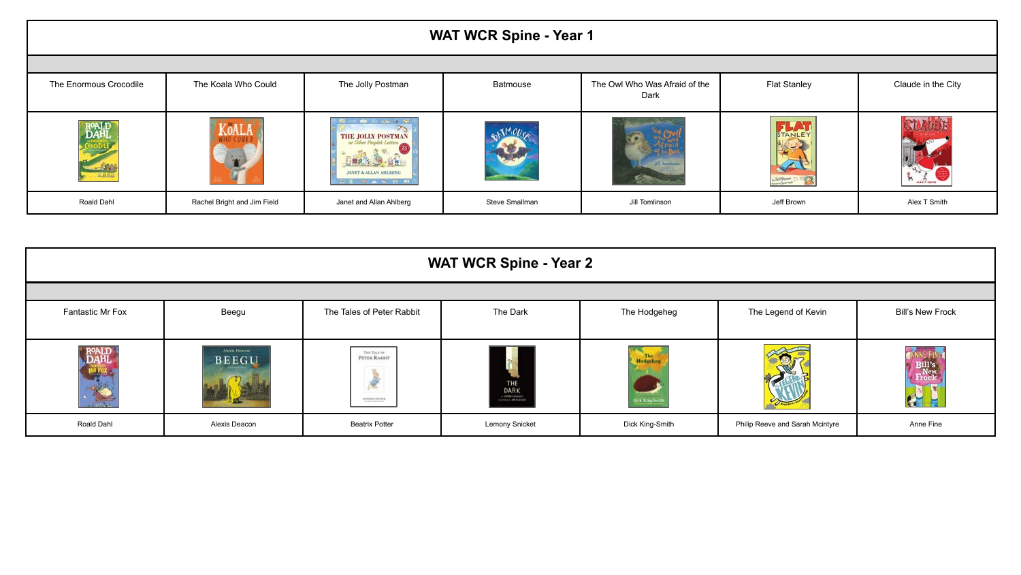| WAT WCR Spine - Year 1     |                             |                                                                                                                     |                |                                       |                        |                    |  |
|----------------------------|-----------------------------|---------------------------------------------------------------------------------------------------------------------|----------------|---------------------------------------|------------------------|--------------------|--|
|                            |                             |                                                                                                                     |                |                                       |                        |                    |  |
| The Enormous Crocodile     | The Koala Who Could         | The Jolly Postman                                                                                                   | Batmouse       | The Owl Who Was Afraid of the<br>Dark | <b>Flat Stanley</b>    | Claude in the City |  |
| <b>DAHI</b><br><b>Seat</b> | KoALA                       | <b>CONTRACTOR CONTRACTOR</b><br>THE JOLLY POSTMAN<br><b>RR 1 9 11</b><br>JANET & ALLAN AHLBERG<br><b>CONTRACTOR</b> |                | <b>Hiller</b>                         | STANLE<br>L. Jel Brown |                    |  |
| Roald Dahl                 | Rachel Bright and Jim Field | Janet and Allan Ahlberg                                                                                             | Steve Smallman | Jill Tomlinson                        | Jeff Brown             | Alex T Smith       |  |

| <b>WAT WCR Spine - Year 2</b> |                               |                                                               |                                                                                                                                                                                                                                                                                                                                                                                                                                                                                             |                                       |                                 |                         |  |
|-------------------------------|-------------------------------|---------------------------------------------------------------|---------------------------------------------------------------------------------------------------------------------------------------------------------------------------------------------------------------------------------------------------------------------------------------------------------------------------------------------------------------------------------------------------------------------------------------------------------------------------------------------|---------------------------------------|---------------------------------|-------------------------|--|
|                               |                               |                                                               |                                                                                                                                                                                                                                                                                                                                                                                                                                                                                             |                                       |                                 |                         |  |
| Fantastic Mr Fox              | Beegu                         | The Tales of Peter Rabbit                                     | The Dark                                                                                                                                                                                                                                                                                                                                                                                                                                                                                    | The Hodgeheg                          | The Legend of Kevin             | <b>Bill's New Frock</b> |  |
| <b>ROALD</b><br>DAHL          | Alexis Descon<br><b>BEEGU</b> | THE TALE OF<br>PETER RABBIT<br>$\mathcal{L}$<br>HETRIX PITTER | THE<br><b>DARK</b><br>$\begin{tabular}{c} \hline \begin{tabular}{c} \bf - & \bf - & \bf - & \bf - & \bf - & \bf - & \bf - & \bf - & \bf - & \bf - \\ \bf - & \bf - & \bf - & \bf - & \bf - & \bf - & \bf - & \bf - \\ \bf - & \bf - & \bf - & \bf - & \bf - & \bf - & \bf - & \bf - \\ \bf - & \bf - & \bf - & \bf - & \bf - & \bf - & \bf - & \bf - \\ \bf - & \bf - & \bf - & \bf - & \bf - & \bf - & \bf - & \bf - \\ \bf - & \bf - & \bf - & \bf - & \bf - & \bf - & \bf - & \bf - & \$ | <b>The Hodgeher</b><br>ick King Smith |                                 |                         |  |
| Roald Dahl                    | Alexis Deacon                 | <b>Beatrix Potter</b>                                         | <b>Lemony Snicket</b>                                                                                                                                                                                                                                                                                                                                                                                                                                                                       | Dick King-Smith                       | Philip Reeve and Sarah Mcintyre | Anne Fine               |  |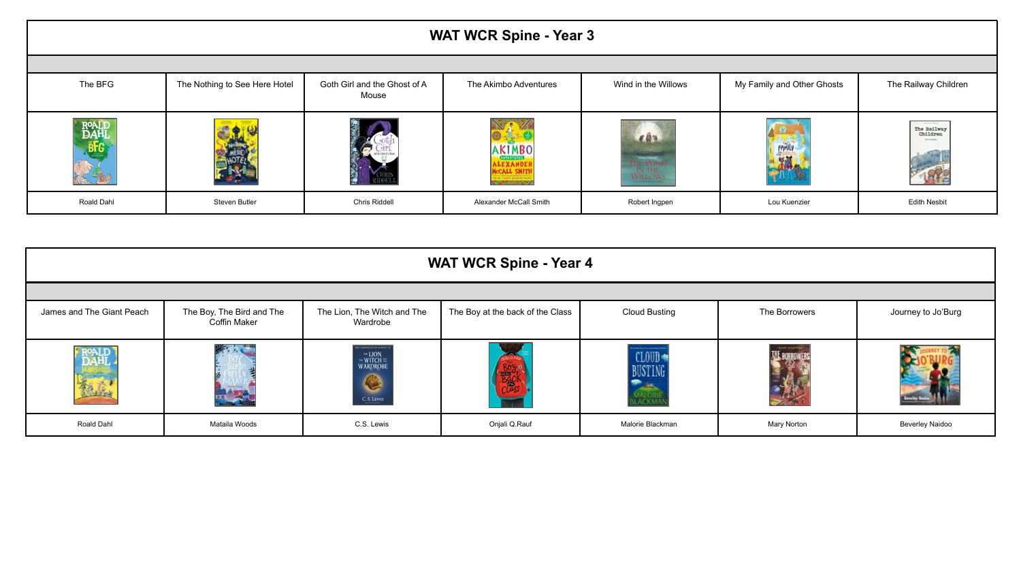| <b>WAT WCR Spine - Year 3</b> |                               |                                       |                                                                                            |                        |                            |                                                                           |  |
|-------------------------------|-------------------------------|---------------------------------------|--------------------------------------------------------------------------------------------|------------------------|----------------------------|---------------------------------------------------------------------------|--|
|                               |                               |                                       |                                                                                            |                        |                            |                                                                           |  |
| The BFG                       | The Nothing to See Here Hotel | Goth Girl and the Ghost of A<br>Mouse | The Akimbo Adventures                                                                      | Wind in the Willows    | My Family and Other Ghosts | The Railway Children                                                      |  |
| <b>ROALI</b><br>DAHI<br>BFG   | HARRES                        |                                       | <b>AKIMBO</b><br><b>CONTRACTORS</b><br>ALEXANDER<br>Necall Shith<br><b>START CONSTANTS</b> | 692<br><b>THE WINE</b> | FAMILY<br>-27<br>AN IN A   | The process of the con-<br>The Railway<br>Children<br><b>With America</b> |  |
| Roald Dahl                    | Steven Butler                 | Chris Riddell                         | Alexander McCall Smith                                                                     | Robert Ingpen          | Lou Kuenzier               | <b>Edith Nesbit</b>                                                       |  |

| <b>WAT WCR Spine - Year 4</b> |                                           |                                                                                          |                                  |                             |                   |                        |  |
|-------------------------------|-------------------------------------------|------------------------------------------------------------------------------------------|----------------------------------|-----------------------------|-------------------|------------------------|--|
|                               |                                           |                                                                                          |                                  |                             |                   |                        |  |
| James and The Giant Peach     | The Boy, The Bird and The<br>Coffin Maker | The Lion, The Witch and The<br>Wardrobe                                                  | The Boy at the back of the Class | <b>Cloud Busting</b>        | The Borrowers     | Journey to Jo'Burg     |  |
| AHI<br>机底                     | <b>Windows</b><br>合理会                     | <b>THE R. P. LEWIS CO., LANSING</b><br>-LION<br>WITCH=<br>WARDROBE<br>$\bigcirc$ cs Line |                                  | CLOUD<br>BUSTING<br>MALORIE | <b>HAVY VOETO</b> |                        |  |
| Roald Dahl                    | Mataila Woods                             | C.S. Lewis                                                                               | Onjali Q.Rauf                    | Malorie Blackman            | Mary Norton       | <b>Beverley Naidoo</b> |  |